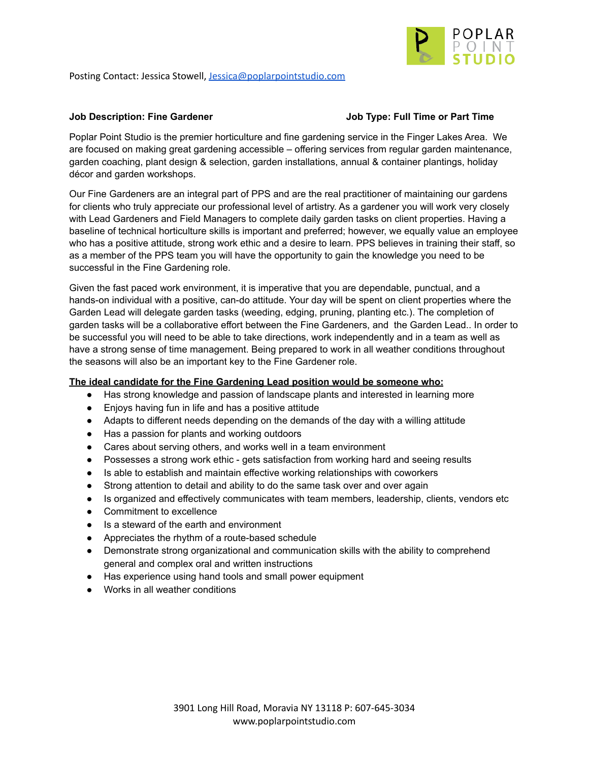

Posting Contact: Jessica Stowell, [Jessica@poplarpointstudio.com](mailto:Jessica@poplarpointstudio.com)

### **Job Description: Fine Gardener Job Type: Full Time or Part Time**

Poplar Point Studio is the premier horticulture and fine gardening service in the Finger Lakes Area. We are focused on making great gardening accessible – offering services from regular garden maintenance, garden coaching, plant design & selection, garden installations, annual & container plantings, holiday décor and garden workshops.

Our Fine Gardeners are an integral part of PPS and are the real practitioner of maintaining our gardens for clients who truly appreciate our professional level of artistry. As a gardener you will work very closely with Lead Gardeners and Field Managers to complete daily garden tasks on client properties. Having a baseline of technical horticulture skills is important and preferred; however, we equally value an employee who has a positive attitude, strong work ethic and a desire to learn. PPS believes in training their staff, so as a member of the PPS team you will have the opportunity to gain the knowledge you need to be successful in the Fine Gardening role.

Given the fast paced work environment, it is imperative that you are dependable, punctual, and a hands-on individual with a positive, can-do attitude. Your day will be spent on client properties where the Garden Lead will delegate garden tasks (weeding, edging, pruning, planting etc.). The completion of garden tasks will be a collaborative effort between the Fine Gardeners, and the Garden Lead.. In order to be successful you will need to be able to take directions, work independently and in a team as well as have a strong sense of time management. Being prepared to work in all weather conditions throughout the seasons will also be an important key to the Fine Gardener role.

## **The ideal candidate for the Fine Gardening Lead position would be someone who:**

- Has strong knowledge and passion of landscape plants and interested in learning more
- Enjoys having fun in life and has a positive attitude
- Adapts to different needs depending on the demands of the day with a willing attitude
- Has a passion for plants and working outdoors
- Cares about serving others, and works well in a team environment
- Possesses a strong work ethic gets satisfaction from working hard and seeing results
- Is able to establish and maintain effective working relationships with coworkers
- Strong attention to detail and ability to do the same task over and over again
- Is organized and effectively communicates with team members, leadership, clients, vendors etc
- Commitment to excellence
- Is a steward of the earth and environment
- Appreciates the rhythm of a route-based schedule
- Demonstrate strong organizational and communication skills with the ability to comprehend general and complex oral and written instructions
- Has experience using hand tools and small power equipment
- Works in all weather conditions